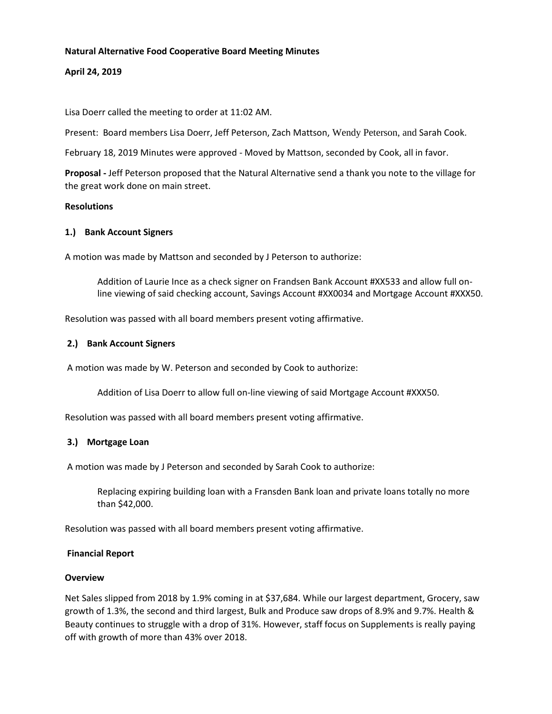#### **Natural Alternative Food Cooperative Board Meeting Minutes**

## **April 24, 2019**

Lisa Doerr called the meeting to order at 11:02 AM.

Present: Board members Lisa Doerr, Jeff Peterson, Zach Mattson, Wendy Peterson, and Sarah Cook.

February 18, 2019 Minutes were approved - Moved by Mattson, seconded by Cook, all in favor.

**Proposal -** Jeff Peterson proposed that the Natural Alternative send a thank you note to the village for the great work done on main street.

### **Resolutions**

### **1.) Bank Account Signers**

A motion was made by Mattson and seconded by J Peterson to authorize:

Addition of Laurie Ince as a check signer on Frandsen Bank Account #XX533 and allow full online viewing of said checking account, Savings Account #XX0034 and Mortgage Account #XXX50.

Resolution was passed with all board members present voting affirmative.

### **2.) Bank Account Signers**

A motion was made by W. Peterson and seconded by Cook to authorize:

Addition of Lisa Doerr to allow full on-line viewing of said Mortgage Account #XXX50.

Resolution was passed with all board members present voting affirmative.

## **3.) Mortgage Loan**

A motion was made by J Peterson and seconded by Sarah Cook to authorize:

Replacing expiring building loan with a Fransden Bank loan and private loans totally no more than \$42,000.

Resolution was passed with all board members present voting affirmative.

#### **Financial Report**

#### **Overview**

Net Sales slipped from 2018 by 1.9% coming in at \$37,684. While our largest department, Grocery, saw growth of 1.3%, the second and third largest, Bulk and Produce saw drops of 8.9% and 9.7%. Health & Beauty continues to struggle with a drop of 31%. However, staff focus on Supplements is really paying off with growth of more than 43% over 2018.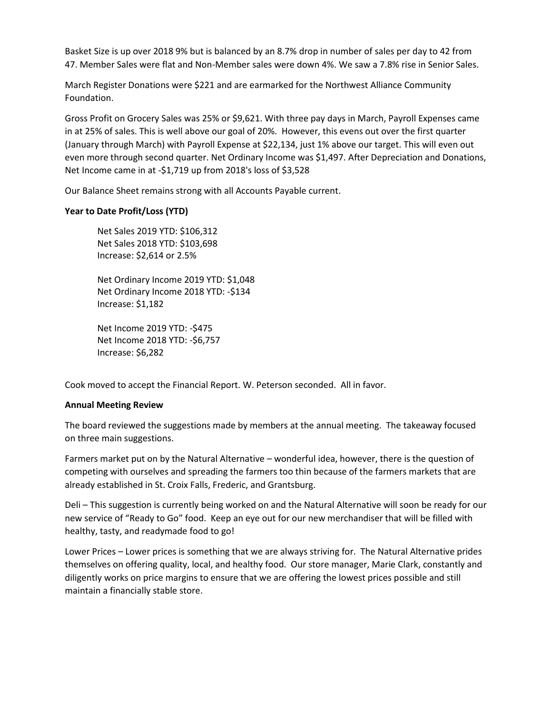Basket Size is up over 2018 9% but is balanced by an 8.7% drop in number of sales per day to 42 from 47. Member Sales were flat and Non-Member sales were down 4%. We saw a 7.8% rise in Senior Sales.

March Register Donations were \$221 and are earmarked for the Northwest Alliance Community Foundation.

Gross Profit on Grocery Sales was 25% or \$9,621. With three pay days in March, Payroll Expenses came in at 25% of sales. This is well above our goal of 20%. However, this evens out over the first quarter (January through March) with Payroll Expense at \$22,134, just 1% above our target. This will even out even more through second quarter. Net Ordinary Income was \$1,497. After Depreciation and Donations, Net Income came in at -\$1,719 up from 2018's loss of \$3,528

Our Balance Sheet remains strong with all Accounts Payable current.

## **Year to Date Profit/Loss (YTD)**

Net Sales 2019 YTD: \$106,312 Net Sales 2018 YTD: \$103,698 Increase: \$2,614 or 2.5%

Net Ordinary Income 2019 YTD: \$1,048 Net Ordinary Income 2018 YTD: -\$134 Increase: \$1,182

Net Income 2019 YTD: -\$475 Net Income 2018 YTD: -\$6,757 Increase: \$6,282

Cook moved to accept the Financial Report. W. Peterson seconded. All in favor.

#### **Annual Meeting Review**

The board reviewed the suggestions made by members at the annual meeting. The takeaway focused on three main suggestions.

Farmers market put on by the Natural Alternative – wonderful idea, however, there is the question of competing with ourselves and spreading the farmers too thin because of the farmers markets that are already established in St. Croix Falls, Frederic, and Grantsburg.

Deli – This suggestion is currently being worked on and the Natural Alternative will soon be ready for our new service of "Ready to Go" food. Keep an eye out for our new merchandiser that will be filled with healthy, tasty, and readymade food to go!

Lower Prices – Lower prices is something that we are always striving for. The Natural Alternative prides themselves on offering quality, local, and healthy food. Our store manager, Marie Clark, constantly and diligently works on price margins to ensure that we are offering the lowest prices possible and still maintain a financially stable store.